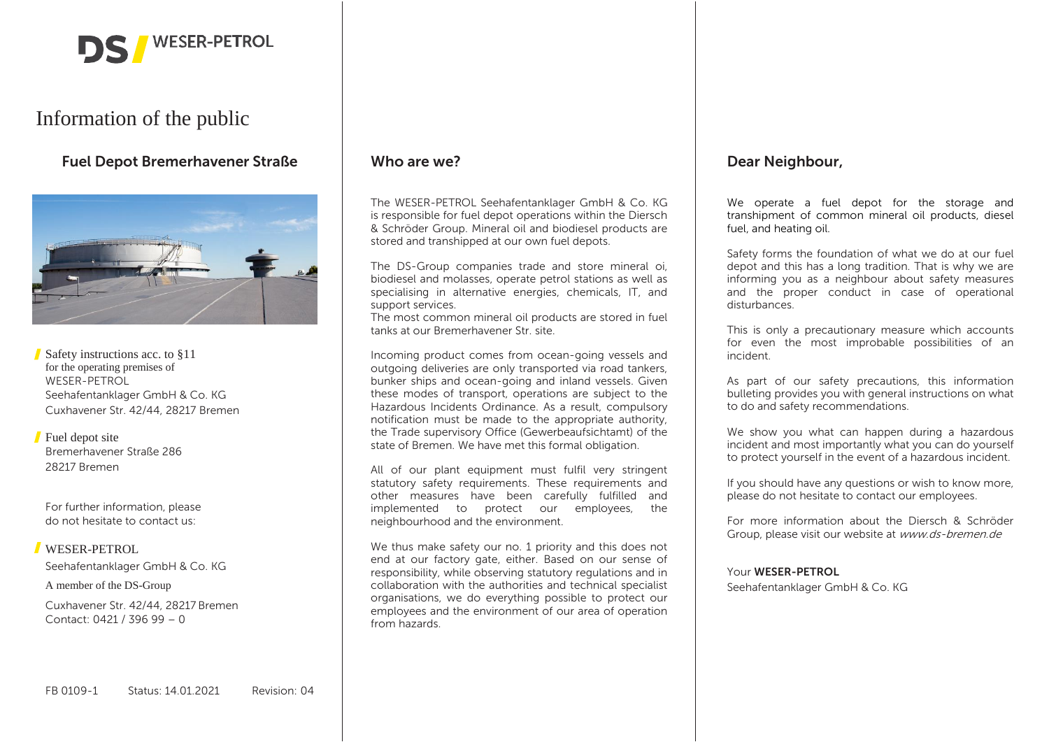

# Information of the public

**Fuel Depot Bremerhavener Straße**  $\qquad$  **Who are we?<br>
<b>Example 20 Interval 20 Interval 20 Interval 20 Interval 20 Interval 20 Interval 20 Interval 20 Interval 20 Interv** 



Safety instructions acc. to §11 for the operating premises of WESER-PETROL Seehafentanklager GmbH & Co. KG Cuxhavener Str. 42/44, 28217 Bremen

#### **Fuel depot site** Bremerhavener Straße 286 28217 Bremen

For further information, please do not hesitate to contact us:

# WESER-PETROL

Seehafentanklager GmbH & Co. KG

A member of the DS-Group

Cuxhavener Str. 42/44, 28217 Bremen Contact: 0421 / 396 99 – 0

The WESER-PETROL Seehafentanklager GmbH & Co. KG is responsible for fuel depot operations within the Diersch & Schröder Group. Mineral oil and biodiesel products are stored and transhipped at our own fuel depots.

The DS-Group companies trade and store mineral oi, biodiesel and molasses, operate petrol stations as well as specialising in alternative energies, chemicals, IT, and support services.

The most common mineral oil products are stored in fuel tanks at our Bremerhavener Str. site.

Incoming product comes from ocean-going vessels and outgoing deliveries are only transported via road tankers, bunker ships and ocean-going and inland vessels. Given these modes of transport, operations are subject to the Hazardous Incidents Ordinance. As a result, compulsory notification must be made to the appropriate authority, the Trade supervisory Office (Gewerbeaufsichtamt) of the state of Bremen. We have met this formal obligation.

All of our plant equipment must fulfil very stringent statutory safety requirements. These requirements and other measures have been carefully fulfilled and implemented to protect our employees, the neighbourhood and the environment.

We thus make safety our no. 1 priority and this does not end at our factory gate, either. Based on our sense of responsibility, while observing statutory regulations and in collaboration with the authorities and technical specialist organisations, we do everything possible to protect our employees and the environment of our area of operation from hazards.

We operate a fuel depot for the storage and transhipment of common mineral oil products, diesel fuel, and heating oil.

Safety forms the foundation of what we do at our fuel depot and this has a long tradition. That is why we are informing you as a neighbour about safety measures and the proper conduct in case of operational disturbances.

This is only a precautionary measure which accounts for even the most improbable possibilities of an incident.

As part of our safety precautions, this information bulleting provides you with general instructions on what to do and safety recommendations.

We show you what can happen during a hazardous incident and most importantly what you can do yourself to protect yourself in the event of a hazardous incident.

If you should have any questions or wish to know more, please do not hesitate to contact our employees.

For more information about the Diersch & Schröder Group, please visit our website at www.ds-bremen.de

Your **WESER-PETROL**

Seehafentanklager GmbH & Co. KG